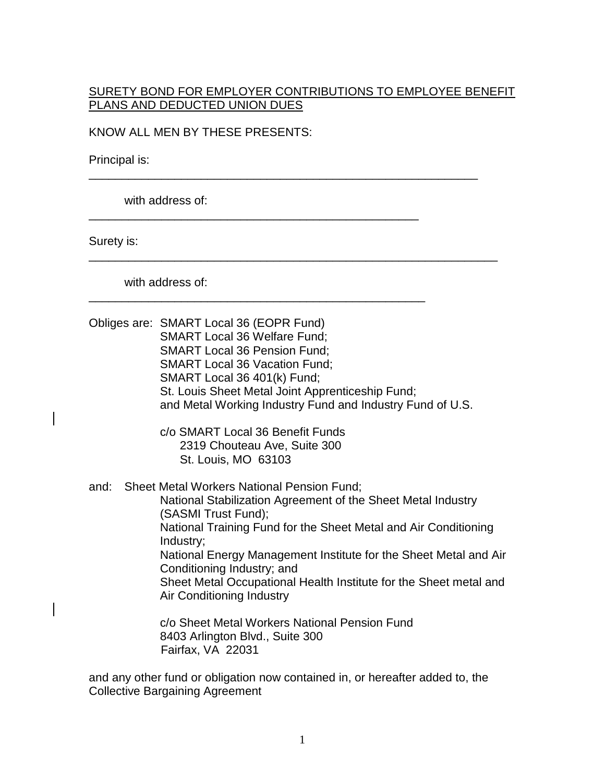## SURETY BOND FOR EMPLOYER CONTRIBUTIONS TO EMPLOYEE BENEFIT PLANS AND DEDUCTED UNION DUES

\_\_\_\_\_\_\_\_\_\_\_\_\_\_\_\_\_\_\_\_\_\_\_\_\_\_\_\_\_\_\_\_\_\_\_\_\_\_\_\_\_\_\_\_\_\_\_\_\_\_\_\_\_\_\_\_\_\_\_

\_\_\_\_\_\_\_\_\_\_\_\_\_\_\_\_\_\_\_\_\_\_\_\_\_\_\_\_\_\_\_\_\_\_\_\_\_\_\_\_\_\_\_\_\_\_\_\_\_\_\_\_\_\_\_\_\_\_\_\_\_\_

\_\_\_\_\_\_\_\_\_\_\_\_\_\_\_\_\_\_\_\_\_\_\_\_\_\_\_\_\_\_\_\_\_\_\_\_\_\_\_\_\_\_\_\_\_\_\_\_\_\_

\_\_\_\_\_\_\_\_\_\_\_\_\_\_\_\_\_\_\_\_\_\_\_\_\_\_\_\_\_\_\_\_\_\_\_\_\_\_\_\_\_\_\_\_\_\_\_\_\_\_\_

KNOW ALL MEN BY THESE PRESENTS:

Principal is:

with address of:

Surety is:

with address of:

|      | Obliges are: SMART Local 36 (EOPR Fund)<br><b>SMART Local 36 Welfare Fund:</b><br><b>SMART Local 36 Pension Fund;</b><br><b>SMART Local 36 Vacation Fund;</b><br>SMART Local 36 401(k) Fund;<br>St. Louis Sheet Metal Joint Apprenticeship Fund;<br>and Metal Working Industry Fund and Industry Fund of U.S.                                                                                                                                                                                                                  |
|------|--------------------------------------------------------------------------------------------------------------------------------------------------------------------------------------------------------------------------------------------------------------------------------------------------------------------------------------------------------------------------------------------------------------------------------------------------------------------------------------------------------------------------------|
|      | c/o SMART Local 36 Benefit Funds<br>2319 Chouteau Ave, Suite 300<br>St. Louis, MO 63103                                                                                                                                                                                                                                                                                                                                                                                                                                        |
| and: | Sheet Metal Workers National Pension Fund;<br>National Stabilization Agreement of the Sheet Metal Industry<br>(SASMI Trust Fund);<br>National Training Fund for the Sheet Metal and Air Conditioning<br>Industry;<br>National Energy Management Institute for the Sheet Metal and Air<br>Conditioning Industry; and<br>Sheet Metal Occupational Health Institute for the Sheet metal and<br>Air Conditioning Industry<br>c/o Sheet Metal Workers National Pension Fund<br>8403 Arlington Blvd., Suite 300<br>Fairfax, VA 22031 |

and any other fund or obligation now contained in, or hereafter added to, the Collective Bargaining Agreement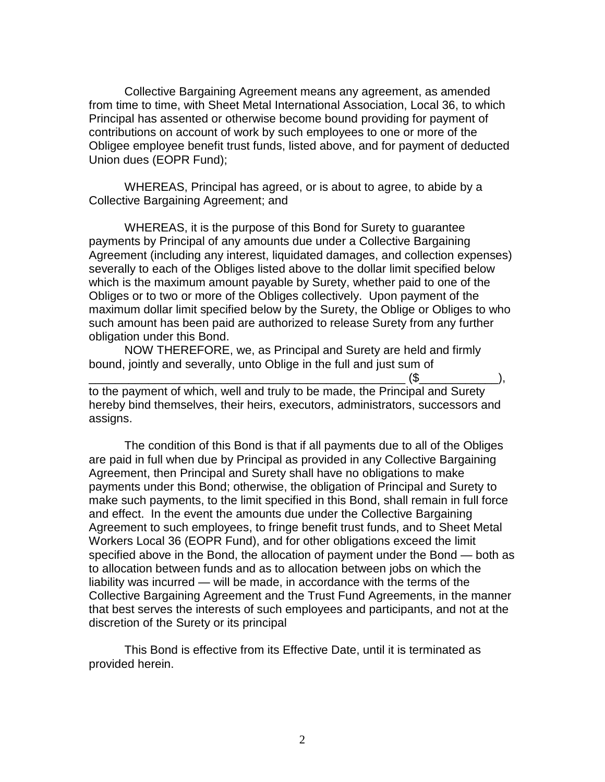Collective Bargaining Agreement means any agreement, as amended from time to time, with Sheet Metal International Association, Local 36, to which Principal has assented or otherwise become bound providing for payment of contributions on account of work by such employees to one or more of the Obligee employee benefit trust funds, listed above, and for payment of deducted Union dues (EOPR Fund);

WHEREAS, Principal has agreed, or is about to agree, to abide by a Collective Bargaining Agreement; and

WHEREAS, it is the purpose of this Bond for Surety to guarantee payments by Principal of any amounts due under a Collective Bargaining Agreement (including any interest, liquidated damages, and collection expenses) severally to each of the Obliges listed above to the dollar limit specified below which is the maximum amount payable by Surety, whether paid to one of the Obliges or to two or more of the Obliges collectively. Upon payment of the maximum dollar limit specified below by the Surety, the Oblige or Obliges to who such amount has been paid are authorized to release Surety from any further obligation under this Bond.

NOW THEREFORE, we, as Principal and Surety are held and firmly bound, jointly and severally, unto Oblige in the full and just sum of

\_\_\_\_\_\_\_\_\_\_\_\_\_\_\_\_\_\_\_\_\_\_\_\_\_\_\_\_\_\_\_\_\_\_\_\_\_\_\_\_\_\_\_\_\_\_\_\_ (\$\_\_\_\_\_\_\_\_\_\_\_\_), to the payment of which, well and truly to be made, the Principal and Surety hereby bind themselves, their heirs, executors, administrators, successors and assigns.

The condition of this Bond is that if all payments due to all of the Obliges are paid in full when due by Principal as provided in any Collective Bargaining Agreement, then Principal and Surety shall have no obligations to make payments under this Bond; otherwise, the obligation of Principal and Surety to make such payments, to the limit specified in this Bond, shall remain in full force and effect. In the event the amounts due under the Collective Bargaining Agreement to such employees, to fringe benefit trust funds, and to Sheet Metal Workers Local 36 (EOPR Fund), and for other obligations exceed the limit specified above in the Bond, the allocation of payment under the Bond — both as to allocation between funds and as to allocation between jobs on which the liability was incurred — will be made, in accordance with the terms of the Collective Bargaining Agreement and the Trust Fund Agreements, in the manner that best serves the interests of such employees and participants, and not at the discretion of the Surety or its principal

This Bond is effective from its Effective Date, until it is terminated as provided herein.